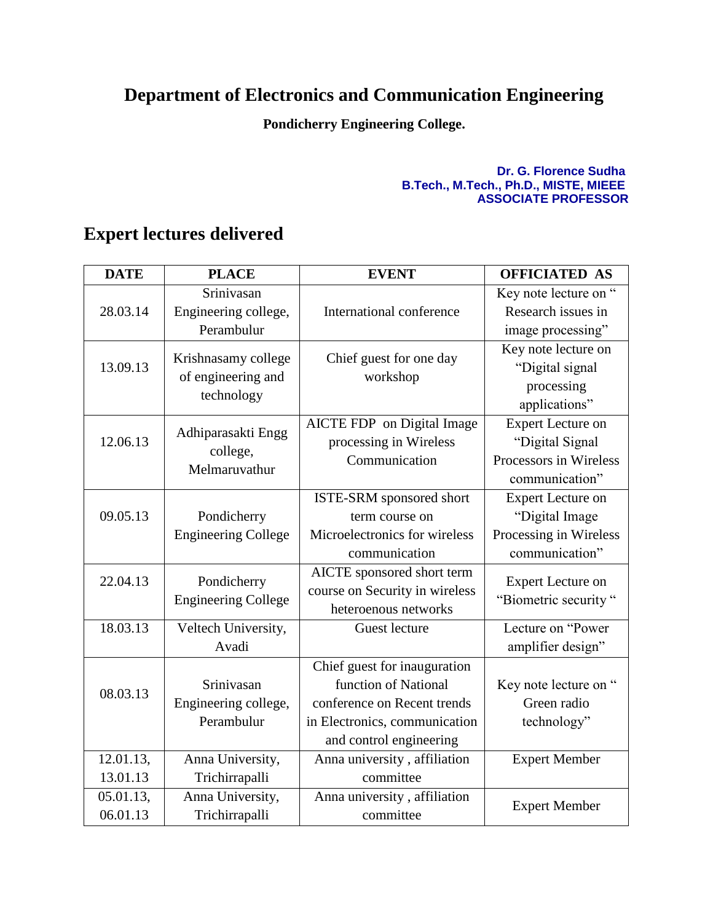## **Department of Electronics and Communication Engineering**

**Pondicherry Engineering College.**

## **Dr. G. Florence Sudha B.Tech., M.Tech., Ph.D., MISTE, MIEEE ASSOCIATE PROFESSOR**

## **Expert lectures delivered**

| <b>DATE</b> | <b>PLACE</b>                              | <b>EVENT</b>                        | <b>OFFICIATED AS</b>     |
|-------------|-------------------------------------------|-------------------------------------|--------------------------|
|             | Srinivasan                                |                                     | Key note lecture on "    |
| 28.03.14    | Engineering college,                      | International conference            | Research issues in       |
|             | Perambulur                                |                                     | image processing"        |
| 13.09.13    | Krishnasamy college<br>of engineering and | Chief guest for one day<br>workshop | Key note lecture on      |
|             |                                           |                                     | "Digital signal          |
|             | technology                                |                                     | processing               |
|             |                                           |                                     | applications"            |
| 12.06.13    | Adhiparasakti Engg<br>college,            | AICTE FDP on Digital Image          | <b>Expert Lecture on</b> |
|             |                                           | processing in Wireless              | "Digital Signal          |
|             |                                           | Communication                       | Processors in Wireless   |
|             | Melmaruvathur                             |                                     | communication"           |
|             |                                           | ISTE-SRM sponsored short            | <b>Expert Lecture on</b> |
| 09.05.13    | Pondicherry                               | term course on                      | "Digital Image           |
|             | <b>Engineering College</b>                | Microelectronics for wireless       | Processing in Wireless   |
|             |                                           | communication                       | communication"           |
| 22.04.13    | Pondicherry                               | AICTE sponsored short term          | <b>Expert Lecture on</b> |
|             | <b>Engineering College</b>                | course on Security in wireless      | "Biometric security"     |
|             |                                           | heteroenous networks                |                          |
| 18.03.13    | Veltech University,                       | Guest lecture                       | Lecture on "Power        |
|             | Avadi                                     |                                     | amplifier design"        |
|             |                                           | Chief guest for inauguration        |                          |
| 08.03.13    | Srinivasan                                | function of National                | Key note lecture on "    |
|             | Engineering college,                      | conference on Recent trends         | Green radio              |
|             | Perambulur                                | in Electronics, communication       | technology"              |
|             |                                           | and control engineering             |                          |
| 12.01.13,   | Anna University,                          | Anna university, affiliation        | <b>Expert Member</b>     |
| 13.01.13    | Trichirrapalli                            | committee                           |                          |
| 05.01.13,   | Anna University,                          | Anna university, affiliation        | <b>Expert Member</b>     |
| 06.01.13    | Trichirrapalli                            | committee                           |                          |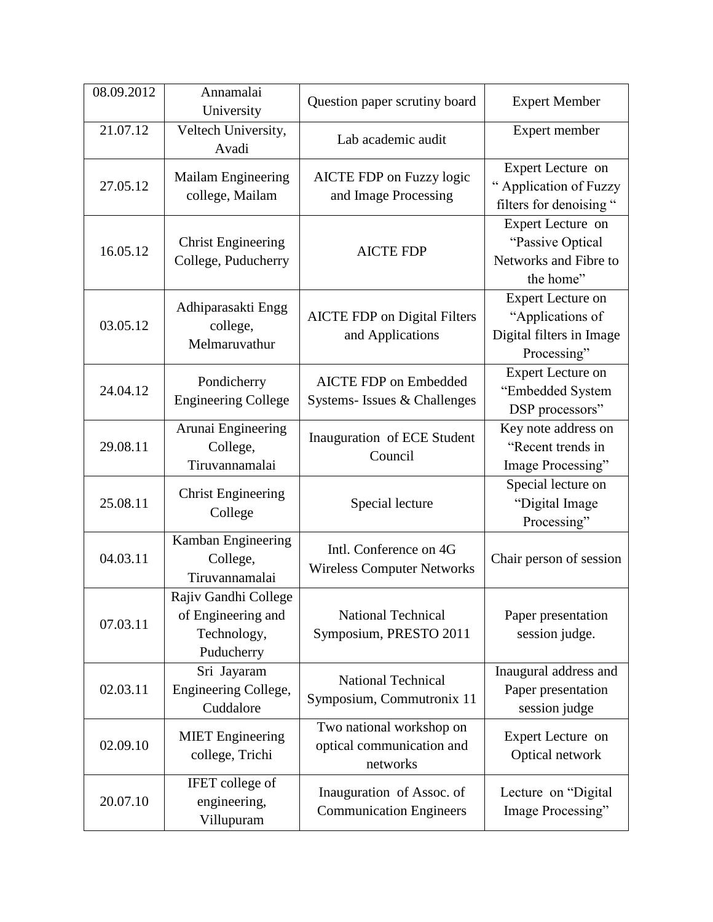| 08.09.2012 | Annamalai<br>University                                                 | Question paper scrutiny board                                     | <b>Expert Member</b>                                                                    |
|------------|-------------------------------------------------------------------------|-------------------------------------------------------------------|-----------------------------------------------------------------------------------------|
| 21.07.12   | Veltech University,<br>Avadi                                            | Lab academic audit                                                | Expert member                                                                           |
| 27.05.12   | Mailam Engineering<br>college, Mailam                                   | AICTE FDP on Fuzzy logic<br>and Image Processing                  | Expert Lecture on<br>" Application of Fuzzy<br>filters for denoising "                  |
| 16.05.12   | <b>Christ Engineering</b><br>College, Puducherry                        | <b>AICTE FDP</b>                                                  | Expert Lecture on<br>"Passive Optical<br>Networks and Fibre to<br>the home"             |
| 03.05.12   | Adhiparasakti Engg<br>college,<br>Melmaruvathur                         | <b>AICTE FDP</b> on Digital Filters<br>and Applications           | <b>Expert Lecture on</b><br>"Applications of<br>Digital filters in Image<br>Processing" |
| 24.04.12   | Pondicherry<br><b>Engineering College</b>                               | <b>AICTE FDP</b> on Embedded<br>Systems- Issues & Challenges      | <b>Expert Lecture on</b><br>"Embedded System<br>DSP processors"                         |
| 29.08.11   | Arunai Engineering<br>College,<br>Tiruvannamalai                        | Inauguration of ECE Student<br>Council                            | Key note address on<br>"Recent trends in<br>Image Processing"                           |
| 25.08.11   | <b>Christ Engineering</b><br>College                                    | Special lecture                                                   | Special lecture on<br>"Digital Image<br>Processing"                                     |
| 04.03.11   | Kamban Engineering<br>College,<br>Tiruvannamalai                        | Intl. Conference on 4G<br><b>Wireless Computer Networks</b>       | Chair person of session                                                                 |
| 07.03.11   | Rajiv Gandhi College<br>of Engineering and<br>Technology,<br>Puducherry | <b>National Technical</b><br>Symposium, PRESTO 2011               | Paper presentation<br>session judge.                                                    |
| 02.03.11   | Sri Jayaram<br>Engineering College,<br>Cuddalore                        | National Technical<br>Symposium, Commutronix 11                   | Inaugural address and<br>Paper presentation<br>session judge                            |
| 02.09.10   | <b>MIET</b> Engineering<br>college, Trichi                              | Two national workshop on<br>optical communication and<br>networks | Expert Lecture on<br>Optical network                                                    |
| 20.07.10   | <b>IFET</b> college of<br>engineering,<br>Villupuram                    | Inauguration of Assoc. of<br><b>Communication Engineers</b>       | Lecture on "Digital"<br>Image Processing"                                               |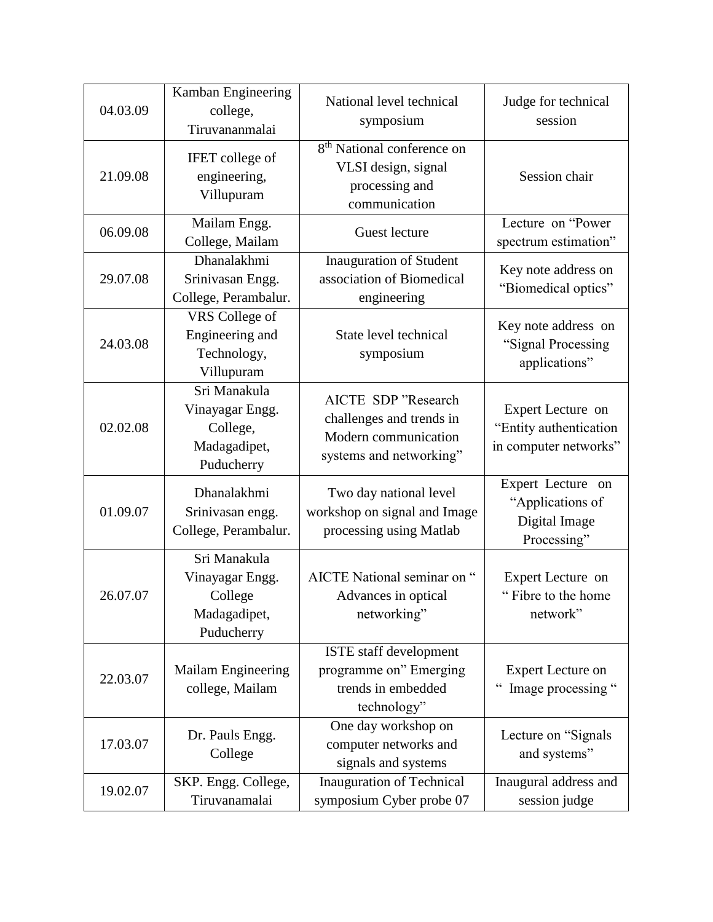| 04.03.09 | Kamban Engineering<br>college,<br>Tiruvananmalai                          | National level technical<br>symposium                                                              | Judge for technical<br>session                                        |
|----------|---------------------------------------------------------------------------|----------------------------------------------------------------------------------------------------|-----------------------------------------------------------------------|
| 21.09.08 | <b>IFET</b> college of<br>engineering,<br>Villupuram                      | 8 <sup>th</sup> National conference on<br>VLSI design, signal<br>processing and<br>communication   | Session chair                                                         |
| 06.09.08 | Mailam Engg.<br>College, Mailam                                           | Guest lecture                                                                                      | Lecture on "Power<br>spectrum estimation"                             |
| 29.07.08 | Dhanalakhmi<br>Srinivasan Engg.<br>College, Perambalur.                   | Inauguration of Student<br>association of Biomedical<br>engineering                                | Key note address on<br>"Biomedical optics"                            |
| 24.03.08 | VRS College of<br>Engineering and<br>Technology,<br>Villupuram            | State level technical<br>symposium                                                                 | Key note address on<br>"Signal Processing<br>applications"            |
| 02.02.08 | Sri Manakula<br>Vinayagar Engg.<br>College,<br>Madagadipet,<br>Puducherry | AICTE SDP "Research<br>challenges and trends in<br>Modern communication<br>systems and networking" | Expert Lecture on<br>"Entity authentication<br>in computer networks"  |
| 01.09.07 | Dhanalakhmi<br>Srinivasan engg.<br>College, Perambalur.                   | Two day national level<br>workshop on signal and Image<br>processing using Matlab                  | Expert Lecture on<br>"Applications of<br>Digital Image<br>Processing" |
| 26.07.07 | Sri Manakula<br>Vinayagar Engg.<br>College<br>Madagadipet,<br>Puducherry  | AICTE National seminar on "<br>Advances in optical<br>networking"                                  | Expert Lecture on<br>"Fibre to the home<br>network"                   |
| 22.03.07 | Mailam Engineering<br>college, Mailam                                     | ISTE staff development<br>programme on" Emerging<br>trends in embedded<br>technology"              | <b>Expert Lecture on</b><br>Image processing "                        |
| 17.03.07 | Dr. Pauls Engg.<br>College                                                | One day workshop on<br>computer networks and<br>signals and systems                                | Lecture on "Signals"<br>and systems"                                  |
| 19.02.07 | SKP. Engg. College,<br>Tiruvanamalai                                      | <b>Inauguration of Technical</b><br>symposium Cyber probe 07                                       | Inaugural address and<br>session judge                                |